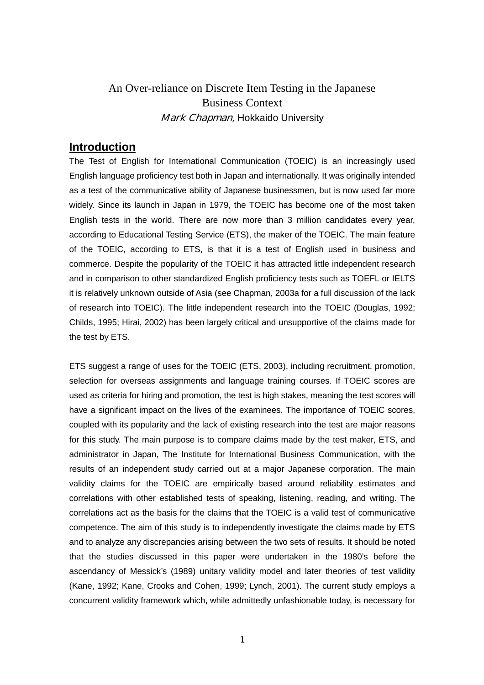# An Over-reliance on Discrete Item Testing in the Japanese Business Context Mark Chapman, Hokkaido University

# **Introduction**

The Test of English for International Communication (TOEIC) is an increasingly used English language proficiency test both in Japan and internationally. It was originally intended as a test of the communicative ability of Japanese businessmen, but is now used far more widely. Since its launch in Japan in 1979, the TOEIC has become one of the most taken English tests in the world. There are now more than 3 million candidates every year, according to Educational Testing Service (ETS), the maker of the TOEIC. The main feature of the TOEIC, according to ETS, is that it is a test of English used in business and commerce. Despite the popularity of the TOEIC it has attracted little independent research and in comparison to other standardized English proficiency tests such as TOEFL or IELTS it is relatively unknown outside of Asia (see Chapman, 2003a for a full discussion of the lack of research into TOEIC). The little independent research into the TOEIC (Douglas, 1992; Childs, 1995; Hirai, 2002) has been largely critical and unsupportive of the claims made for the test by ETS.

ETS suggest a range of uses for the TOEIC (ETS, 2003), including recruitment, promotion, selection for overseas assignments and language training courses. If TOEIC scores are used as criteria for hiring and promotion, the test is high stakes, meaning the test scores will have a significant impact on the lives of the examinees. The importance of TOEIC scores, coupled with its popularity and the lack of existing research into the test are major reasons for this study. The main purpose is to compare claims made by the test maker, ETS, and administrator in Japan, The Institute for International Business Communication, with the results of an independent study carried out at a major Japanese corporation. The main validity claims for the TOEIC are empirically based around reliability estimates and correlations with other established tests of speaking, listening, reading, and writing. The correlations act as the basis for the claims that the TOEIC is a valid test of communicative competence. The aim of this study is to independently investigate the claims made by ETS and to analyze any discrepancies arising between the two sets of results. It should be noted that the studies discussed in this paper were undertaken in the 1980's before the ascendancy of Messick's (1989) unitary validity model and later theories of test validity (Kane, 1992; Kane, Crooks and Cohen, 1999; Lynch, 2001). The current study employs a concurrent validity framework which, while admittedly unfashionable today, is necessary for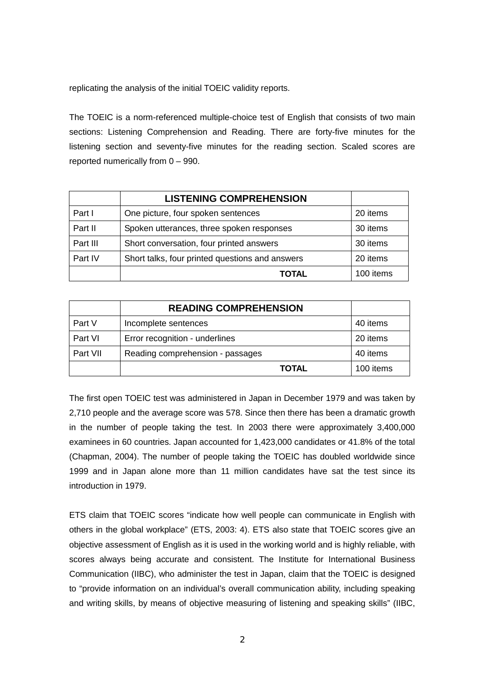replicating the analysis of the initial TOEIC validity reports.

The TOEIC is a norm-referenced multiple-choice test of English that consists of two main sections: Listening Comprehension and Reading. There are forty-five minutes for the listening section and seventy-five minutes for the reading section. Scaled scores are reported numerically from 0 – 990.

|          | <b>LISTENING COMPREHENSION</b>                  |           |
|----------|-------------------------------------------------|-----------|
| Part I   | One picture, four spoken sentences              | 20 items  |
| Part II  | Spoken utterances, three spoken responses       | 30 items  |
| Part III | Short conversation, four printed answers        | 30 items  |
| Part IV  | Short talks, four printed questions and answers | 20 items  |
|          | <b>TOTAL</b>                                    | 100 items |

|          | <b>READING COMPREHENSION</b>     |           |  |  |  |
|----------|----------------------------------|-----------|--|--|--|
| Part V   | Incomplete sentences             | 40 items  |  |  |  |
| Part VI  | Error recognition - underlines   | 20 items  |  |  |  |
| Part VII | Reading comprehension - passages | 40 items  |  |  |  |
|          | <b>TOTAL</b>                     | 100 items |  |  |  |

The first open TOEIC test was administered in Japan in December 1979 and was taken by 2,710 people and the average score was 578. Since then there has been a dramatic growth in the number of people taking the test. In 2003 there were approximately 3,400,000 examinees in 60 countries. Japan accounted for 1,423,000 candidates or 41.8% of the total (Chapman, 2004). The number of people taking the TOEIC has doubled worldwide since 1999 and in Japan alone more than 11 million candidates have sat the test since its introduction in 1979.

ETS claim that TOEIC scores "indicate how well people can communicate in English with others in the global workplace" (ETS, 2003: 4). ETS also state that TOEIC scores give an objective assessment of English as it is used in the working world and is highly reliable, with scores always being accurate and consistent. The Institute for International Business Communication (IIBC), who administer the test in Japan, claim that the TOEIC is designed to "provide information on an individual's overall communication ability, including speaking and writing skills, by means of objective measuring of listening and speaking skills" (IIBC,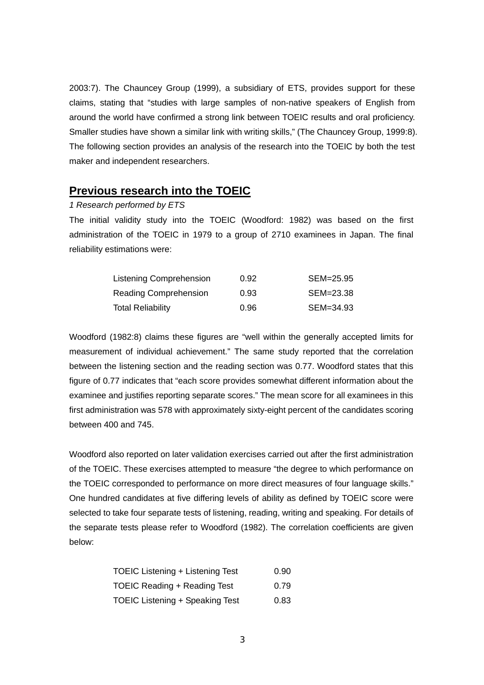2003:7). The Chauncey Group (1999), a subsidiary of ETS, provides support for these claims, stating that "studies with large samples of non-native speakers of English from around the world have confirmed a strong link between TOEIC results and oral proficiency. Smaller studies have shown a similar link with writing skills," (The Chauncey Group, 1999:8). The following section provides an analysis of the research into the TOEIC by both the test maker and independent researchers.

## **Previous research into the TOEIC**

#### *1 Research performed by ETS*

The initial validity study into the TOEIC (Woodford: 1982) was based on the first administration of the TOEIC in 1979 to a group of 2710 examinees in Japan. The final reliability estimations were:

| Listening Comprehension  | 0.92 | SEM=25.95 |
|--------------------------|------|-----------|
| Reading Comprehension    | 0.93 | SEM=23.38 |
| <b>Total Reliability</b> | 0.96 | SEM=34.93 |

Woodford (1982:8) claims these figures are "well within the generally accepted limits for measurement of individual achievement." The same study reported that the correlation between the listening section and the reading section was 0.77. Woodford states that this figure of 0.77 indicates that "each score provides somewhat different information about the examinee and justifies reporting separate scores." The mean score for all examinees in this first administration was 578 with approximately sixty-eight percent of the candidates scoring between 400 and 745.

Woodford also reported on later validation exercises carried out after the first administration of the TOEIC. These exercises attempted to measure "the degree to which performance on the TOEIC corresponded to performance on more direct measures of four language skills." One hundred candidates at five differing levels of ability as defined by TOEIC score were selected to take four separate tests of listening, reading, writing and speaking. For details of the separate tests please refer to Woodford (1982). The correlation coefficients are given below:

| <b>TOEIC Listening + Listening Test</b> | 0.90 |
|-----------------------------------------|------|
| TOEIC Reading + Reading Test            | 0.79 |
| <b>TOEIC Listening + Speaking Test</b>  | 0.83 |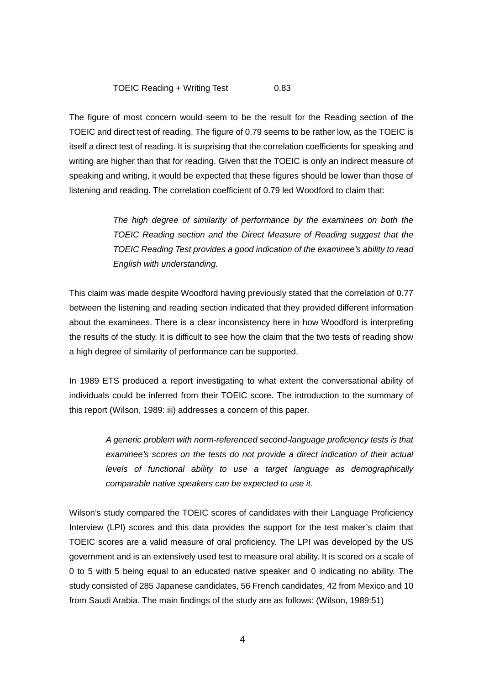#### TOEIC Reading + Writing Test 0.83

The figure of most concern would seem to be the result for the Reading section of the TOEIC and direct test of reading. The figure of 0.79 seems to be rather low, as the TOEIC is itself a direct test of reading. It is surprising that the correlation coefficients for speaking and writing are higher than that for reading. Given that the TOEIC is only an indirect measure of speaking and writing, it would be expected that these figures should be lower than those of listening and reading. The correlation coefficient of 0.79 led Woodford to claim that:

> *The high degree of similarity of performance by the examinees on both the TOEIC Reading section and the Direct Measure of Reading suggest that the TOEIC Reading Test provides a good indication of the examinee's ability to read English with understanding.*

This claim was made despite Woodford having previously stated that the correlation of 0.77 between the listening and reading section indicated that they provided different information about the examinees. There is a clear inconsistency here in how Woodford is interpreting the results of the study. It is difficult to see how the claim that the two tests of reading show a high degree of similarity of performance can be supported.

In 1989 ETS produced a report investigating to what extent the conversational ability of individuals could be inferred from their TOEIC score. The introduction to the summary of this report (Wilson, 1989: iii) addresses a concern of this paper.

> *A generic problem with norm-referenced second-language proficiency tests is that examinee's scores on the tests do not provide a direct indication of their actual levels of functional ability to use a target language as demographically comparable native speakers can be expected to use it.*

Wilson's study compared the TOEIC scores of candidates with their Language Proficiency Interview (LPI) scores and this data provides the support for the test maker's claim that TOEIC scores are a valid measure of oral proficiency. The LPI was developed by the US government and is an extensively used test to measure oral ability. It is scored on a scale of 0 to 5 with 5 being equal to an educated native speaker and 0 indicating no ability. The study consisted of 285 Japanese candidates, 56 French candidates, 42 from Mexico and 10 from Saudi Arabia. The main findings of the study are as follows: (Wilson, 1989:51)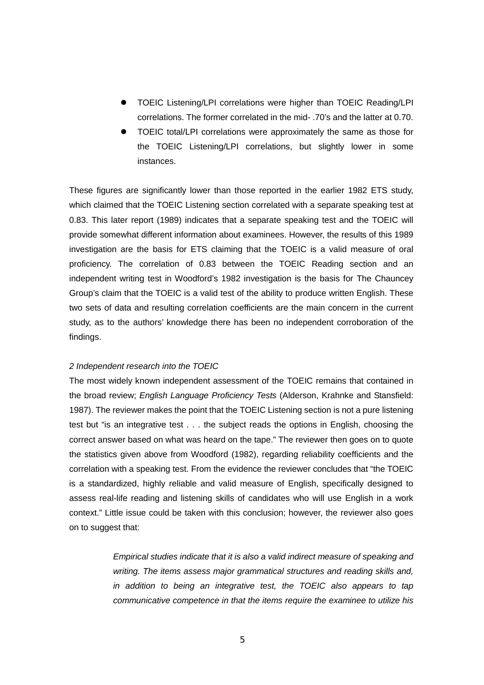- z TOEIC Listening/LPI correlations were higher than TOEIC Reading/LPI correlations. The former correlated in the mid- .70's and the latter at 0.70.
- TOEIC total/LPI correlations were approximately the same as those for the TOEIC Listening/LPI correlations, but slightly lower in some instances.

These figures are significantly lower than those reported in the earlier 1982 ETS study, which claimed that the TOEIC Listening section correlated with a separate speaking test at 0.83. This later report (1989) indicates that a separate speaking test and the TOEIC will provide somewhat different information about examinees. However, the results of this 1989 investigation are the basis for ETS claiming that the TOEIC is a valid measure of oral proficiency. The correlation of 0.83 between the TOEIC Reading section and an independent writing test in Woodford's 1982 investigation is the basis for The Chauncey Group's claim that the TOEIC is a valid test of the ability to produce written English. These two sets of data and resulting correlation coefficients are the main concern in the current study, as to the authors' knowledge there has been no independent corroboration of the findings.

#### *2 Independent research into the TOEIC*

The most widely known independent assessment of the TOEIC remains that contained in the broad review; *English Language Proficiency Tests* (Alderson, Krahnke and Stansfield: 1987). The reviewer makes the point that the TOEIC Listening section is not a pure listening test but "is an integrative test . . . the subject reads the options in English, choosing the correct answer based on what was heard on the tape." The reviewer then goes on to quote the statistics given above from Woodford (1982), regarding reliability coefficients and the correlation with a speaking test. From the evidence the reviewer concludes that "the TOEIC is a standardized, highly reliable and valid measure of English, specifically designed to assess real-life reading and listening skills of candidates who will use English in a work context." Little issue could be taken with this conclusion; however, the reviewer also goes on to suggest that:

> *Empirical studies indicate that it is also a valid indirect measure of speaking and writing. The items assess major grammatical structures and reading skills and, in addition to being an integrative test, the TOEIC also appears to tap communicative competence in that the items require the examinee to utilize his*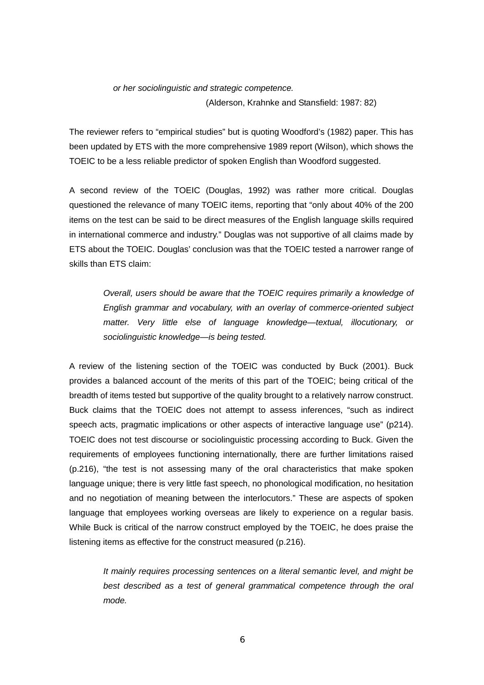*or her sociolinguistic and strategic competence.*

(Alderson, Krahnke and Stansfield: 1987: 82)

The reviewer refers to "empirical studies" but is quoting Woodford's (1982) paper. This has been updated by ETS with the more comprehensive 1989 report (Wilson), which shows the TOEIC to be a less reliable predictor of spoken English than Woodford suggested.

A second review of the TOEIC (Douglas, 1992) was rather more critical. Douglas questioned the relevance of many TOEIC items, reporting that "only about 40% of the 200 items on the test can be said to be direct measures of the English language skills required in international commerce and industry." Douglas was not supportive of all claims made by ETS about the TOEIC. Douglas' conclusion was that the TOEIC tested a narrower range of skills than ETS claim:

*Overall, users should be aware that the TOEIC requires primarily a knowledge of English grammar and vocabulary, with an overlay of commerce-oriented subject matter. Very little else of language knowledge—textual, illocutionary, or sociolinguistic knowledge—is being tested.*

A review of the listening section of the TOEIC was conducted by Buck (2001). Buck provides a balanced account of the merits of this part of the TOEIC; being critical of the breadth of items tested but supportive of the quality brought to a relatively narrow construct. Buck claims that the TOEIC does not attempt to assess inferences, "such as indirect speech acts, pragmatic implications or other aspects of interactive language use" (p214). TOEIC does not test discourse or sociolinguistic processing according to Buck. Given the requirements of employees functioning internationally, there are further limitations raised (p.216), "the test is not assessing many of the oral characteristics that make spoken language unique; there is very little fast speech, no phonological modification, no hesitation and no negotiation of meaning between the interlocutors." These are aspects of spoken language that employees working overseas are likely to experience on a regular basis. While Buck is critical of the narrow construct employed by the TOEIC, he does praise the listening items as effective for the construct measured (p.216).

*It mainly requires processing sentences on a literal semantic level, and might be best described as a test of general grammatical competence through the oral mode.*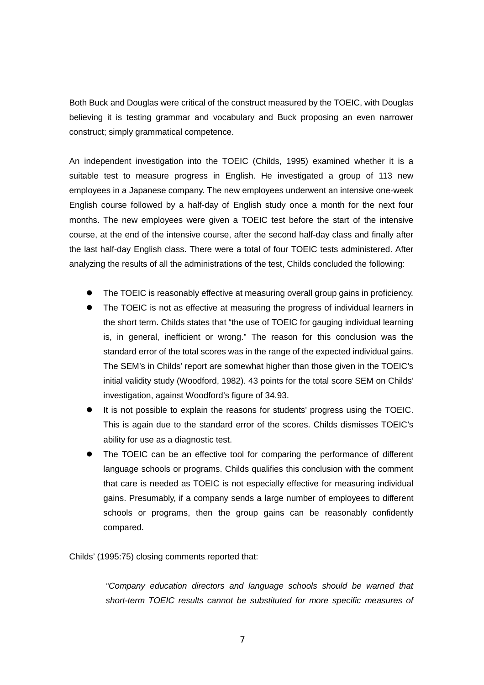Both Buck and Douglas were critical of the construct measured by the TOEIC, with Douglas believing it is testing grammar and vocabulary and Buck proposing an even narrower construct; simply grammatical competence.

An independent investigation into the TOEIC (Childs, 1995) examined whether it is a suitable test to measure progress in English. He investigated a group of 113 new employees in a Japanese company. The new employees underwent an intensive one-week English course followed by a half-day of English study once a month for the next four months. The new employees were given a TOEIC test before the start of the intensive course, at the end of the intensive course, after the second half-day class and finally after the last half-day English class. There were a total of four TOEIC tests administered. After analyzing the results of all the administrations of the test, Childs concluded the following:

- The TOEIC is reasonably effective at measuring overall group gains in proficiency.
- The TOEIC is not as effective at measuring the progress of individual learners in the short term. Childs states that "the use of TOEIC for gauging individual learning is, in general, inefficient or wrong." The reason for this conclusion was the standard error of the total scores was in the range of the expected individual gains. The SEM's in Childs' report are somewhat higher than those given in the TOEIC's initial validity study (Woodford, 1982). 43 points for the total score SEM on Childs' investigation, against Woodford's figure of 34.93.
- It is not possible to explain the reasons for students' progress using the TOEIC. This is again due to the standard error of the scores. Childs dismisses TOEIC's ability for use as a diagnostic test.
- The TOEIC can be an effective tool for comparing the performance of different language schools or programs. Childs qualifies this conclusion with the comment that care is needed as TOEIC is not especially effective for measuring individual gains. Presumably, if a company sends a large number of employees to different schools or programs, then the group gains can be reasonably confidently compared.

Childs' (1995:75) closing comments reported that:

*"Company education directors and language schools should be warned that short-term TOEIC results cannot be substituted for more specific measures of*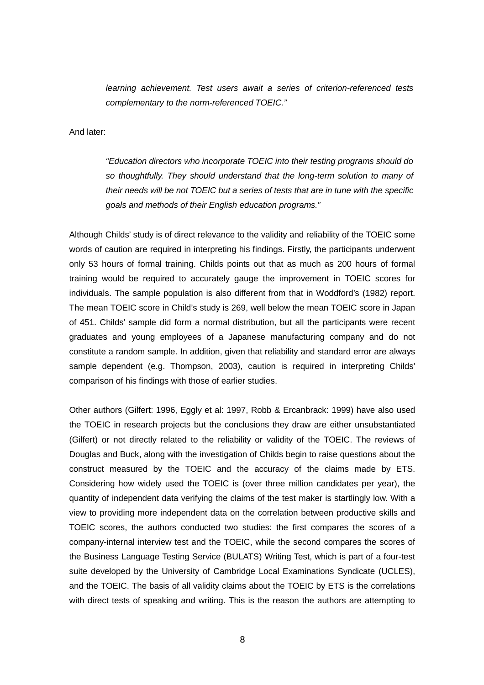*learning achievement. Test users await a series of criterion-referenced tests complementary to the norm-referenced TOEIC."*

And later:

*"Education directors who incorporate TOEIC into their testing programs should do so thoughtfully. They should understand that the long-term solution to many of their needs will be not TOEIC but a series of tests that are in tune with the specific goals and methods of their English education programs."*

Although Childs' study is of direct relevance to the validity and reliability of the TOEIC some words of caution are required in interpreting his findings. Firstly, the participants underwent only 53 hours of formal training. Childs points out that as much as 200 hours of formal training would be required to accurately gauge the improvement in TOEIC scores for individuals. The sample population is also different from that in Woddford's (1982) report. The mean TOEIC score in Child's study is 269, well below the mean TOEIC score in Japan of 451. Childs' sample did form a normal distribution, but all the participants were recent graduates and young employees of a Japanese manufacturing company and do not constitute a random sample. In addition, given that reliability and standard error are always sample dependent (e.g. Thompson, 2003), caution is required in interpreting Childs' comparison of his findings with those of earlier studies.

Other authors (Gilfert: 1996, Eggly et al: 1997, Robb & Ercanbrack: 1999) have also used the TOEIC in research projects but the conclusions they draw are either unsubstantiated (Gilfert) or not directly related to the reliability or validity of the TOEIC. The reviews of Douglas and Buck, along with the investigation of Childs begin to raise questions about the construct measured by the TOEIC and the accuracy of the claims made by ETS. Considering how widely used the TOEIC is (over three million candidates per year), the quantity of independent data verifying the claims of the test maker is startlingly low. With a view to providing more independent data on the correlation between productive skills and TOEIC scores, the authors conducted two studies: the first compares the scores of a company-internal interview test and the TOEIC, while the second compares the scores of the Business Language Testing Service (BULATS) Writing Test, which is part of a four-test suite developed by the University of Cambridge Local Examinations Syndicate (UCLES), and the TOEIC. The basis of all validity claims about the TOEIC by ETS is the correlations with direct tests of speaking and writing. This is the reason the authors are attempting to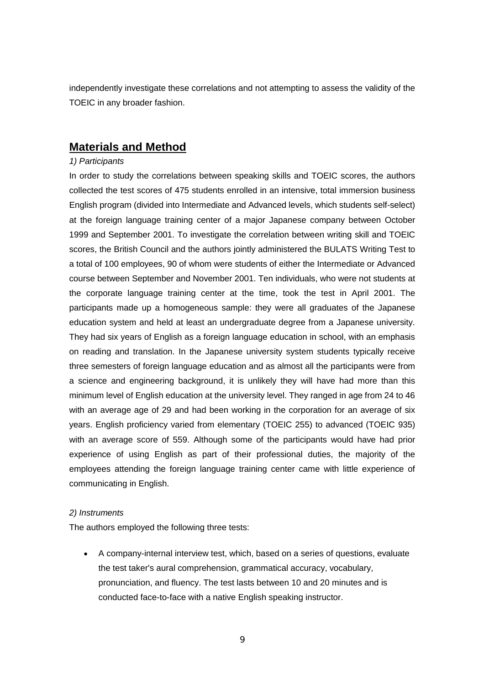independently investigate these correlations and not attempting to assess the validity of the TOEIC in any broader fashion.

# **Materials and Method**

### *1) Participants*

In order to study the correlations between speaking skills and TOEIC scores, the authors collected the test scores of 475 students enrolled in an intensive, total immersion business English program (divided into Intermediate and Advanced levels, which students self-select) at the foreign language training center of a major Japanese company between October 1999 and September 2001. To investigate the correlation between writing skill and TOEIC scores, the British Council and the authors jointly administered the BULATS Writing Test to a total of 100 employees, 90 of whom were students of either the Intermediate or Advanced course between September and November 2001. Ten individuals, who were not students at the corporate language training center at the time, took the test in April 2001. The participants made up a homogeneous sample: they were all graduates of the Japanese education system and held at least an undergraduate degree from a Japanese university. They had six years of English as a foreign language education in school, with an emphasis on reading and translation. In the Japanese university system students typically receive three semesters of foreign language education and as almost all the participants were from a science and engineering background, it is unlikely they will have had more than this minimum level of English education at the university level. They ranged in age from 24 to 46 with an average age of 29 and had been working in the corporation for an average of six years. English proficiency varied from elementary (TOEIC 255) to advanced (TOEIC 935) with an average score of 559. Although some of the participants would have had prior experience of using English as part of their professional duties, the majority of the employees attending the foreign language training center came with little experience of communicating in English.

### *2) Instruments*

The authors employed the following three tests:

• A company-internal interview test, which, based on a series of questions, evaluate the test taker's aural comprehension, grammatical accuracy, vocabulary, pronunciation, and fluency. The test lasts between 10 and 20 minutes and is conducted face-to-face with a native English speaking instructor.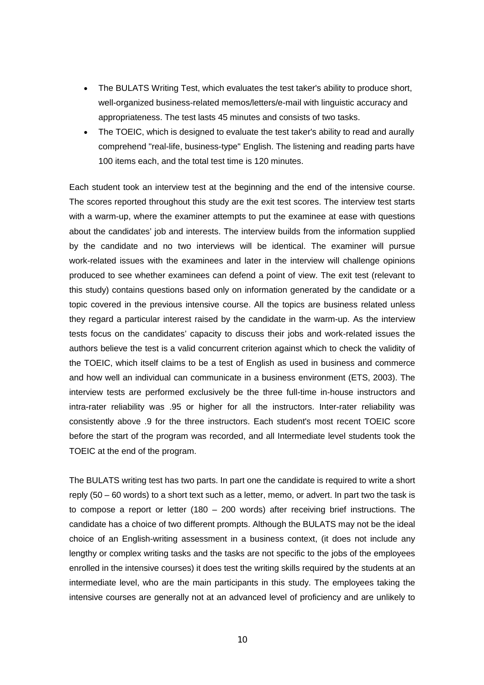- The BULATS Writing Test, which evaluates the test taker's ability to produce short, well-organized business-related memos/letters/e-mail with linguistic accuracy and appropriateness. The test lasts 45 minutes and consists of two tasks.
- The TOEIC, which is designed to evaluate the test taker's ability to read and aurally comprehend "real-life, business-type" English. The listening and reading parts have 100 items each, and the total test time is 120 minutes.

Each student took an interview test at the beginning and the end of the intensive course. The scores reported throughout this study are the exit test scores. The interview test starts with a warm-up, where the examiner attempts to put the examinee at ease with questions about the candidates' job and interests. The interview builds from the information supplied by the candidate and no two interviews will be identical. The examiner will pursue work-related issues with the examinees and later in the interview will challenge opinions produced to see whether examinees can defend a point of view. The exit test (relevant to this study) contains questions based only on information generated by the candidate or a topic covered in the previous intensive course. All the topics are business related unless they regard a particular interest raised by the candidate in the warm-up. As the interview tests focus on the candidates' capacity to discuss their jobs and work-related issues the authors believe the test is a valid concurrent criterion against which to check the validity of the TOEIC, which itself claims to be a test of English as used in business and commerce and how well an individual can communicate in a business environment (ETS, 2003). The interview tests are performed exclusively be the three full-time in-house instructors and intra-rater reliability was .95 or higher for all the instructors. Inter-rater reliability was consistently above .9 for the three instructors. Each student's most recent TOEIC score before the start of the program was recorded, and all Intermediate level students took the TOEIC at the end of the program.

The BULATS writing test has two parts. In part one the candidate is required to write a short reply (50 – 60 words) to a short text such as a letter, memo, or advert. In part two the task is to compose a report or letter (180 – 200 words) after receiving brief instructions. The candidate has a choice of two different prompts. Although the BULATS may not be the ideal choice of an English-writing assessment in a business context, (it does not include any lengthy or complex writing tasks and the tasks are not specific to the jobs of the employees enrolled in the intensive courses) it does test the writing skills required by the students at an intermediate level, who are the main participants in this study. The employees taking the intensive courses are generally not at an advanced level of proficiency and are unlikely to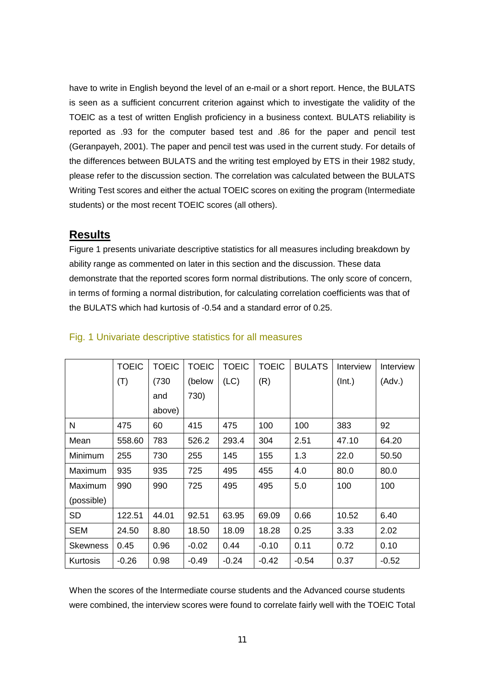have to write in English beyond the level of an e-mail or a short report. Hence, the BULATS is seen as a sufficient concurrent criterion against which to investigate the validity of the TOEIC as a test of written English proficiency in a business context. BULATS reliability is reported as .93 for the computer based test and .86 for the paper and pencil test (Geranpayeh, 2001). The paper and pencil test was used in the current study. For details of the differences between BULATS and the writing test employed by ETS in their 1982 study, please refer to the discussion section. The correlation was calculated between the BULATS Writing Test scores and either the actual TOEIC scores on exiting the program (Intermediate students) or the most recent TOEIC scores (all others).

# **Results**

Figure 1 presents univariate descriptive statistics for all measures including breakdown by ability range as commented on later in this section and the discussion. These data demonstrate that the reported scores form normal distributions. The only score of concern, in terms of forming a normal distribution, for calculating correlation coefficients was that of the BULATS which had kurtosis of -0.54 and a standard error of 0.25.

|            | <b>TOEIC</b> | <b>TOEIC</b> | <b>TOEIC</b> | <b>TOEIC</b> | <b>TOEIC</b> | <b>BULATS</b> | Interview | Interview |
|------------|--------------|--------------|--------------|--------------|--------------|---------------|-----------|-----------|
|            | (T)          | (730)        | (below       | (LC)         | (R)          |               | (Int.)    | (Adv.)    |
|            |              | and          | 730)         |              |              |               |           |           |
|            |              | above)       |              |              |              |               |           |           |
| N          | 475          | 60           | 415          | 475          | 100          | 100           | 383       | 92        |
| Mean       | 558.60       | 783          | 526.2        | 293.4        | 304          | 2.51          | 47.10     | 64.20     |
| Minimum    | 255          | 730          | 255          | 145          | 155          | 1.3           | 22.0      | 50.50     |
| Maximum    | 935          | 935          | 725          | 495          | 455          | 4.0           | 80.0      | 80.0      |
| Maximum    | 990          | 990          | 725          | 495          | 495          | 5.0           | 100       | 100       |
| (possible) |              |              |              |              |              |               |           |           |
| <b>SD</b>  | 122.51       | 44.01        | 92.51        | 63.95        | 69.09        | 0.66          | 10.52     | 6.40      |
| <b>SEM</b> | 24.50        | 8.80         | 18.50        | 18.09        | 18.28        | 0.25          | 3.33      | 2.02      |
| Skewness   | 0.45         | 0.96         | $-0.02$      | 0.44         | $-0.10$      | 0.11          | 0.72      | 0.10      |
| Kurtosis   | $-0.26$      | 0.98         | $-0.49$      | $-0.24$      | $-0.42$      | $-0.54$       | 0.37      | $-0.52$   |

## Fig. 1 Univariate descriptive statistics for all measures

When the scores of the Intermediate course students and the Advanced course students were combined, the interview scores were found to correlate fairly well with the TOEIC Total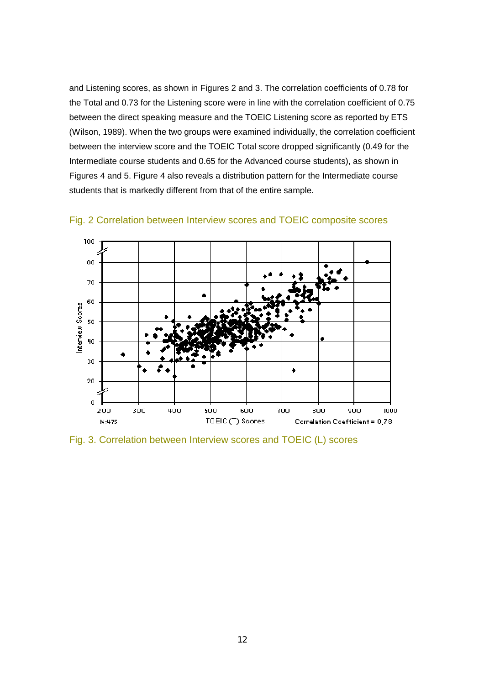and Listening scores, as shown in Figures 2 and 3. The correlation coefficients of 0.78 for the Total and 0.73 for the Listening score were in line with the correlation coefficient of 0.75 between the direct speaking measure and the TOEIC Listening score as reported by ETS (Wilson, 1989). When the two groups were examined individually, the correlation coefficient between the interview score and the TOEIC Total score dropped significantly (0.49 for the Intermediate course students and 0.65 for the Advanced course students), as shown in Figures 4 and 5. Figure 4 also reveals a distribution pattern for the Intermediate course students that is markedly different from that of the entire sample.



Fig. 2 Correlation between Interview scores and TOEIC composite scores

Fig. 3. Correlation between Interview scores and TOEIC (L) scores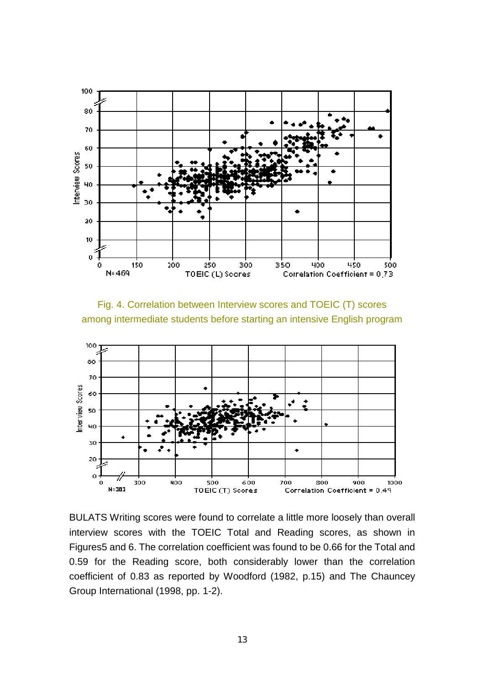

Fig. 4. Correlation between Interview scores and TOEIC (T) scores among intermediate students before starting an intensive English program



BULATS Writing scores were found to correlate a little more loosely than overall interview scores with the TOEIC Total and Reading scores, as shown in Figures5 and 6. The correlation coefficient was found to be 0.66 for the Total and 0.59 for the Reading score, both considerably lower than the correlation coefficient of 0.83 as reported by Woodford (1982, p.15) and The Chauncey Group International (1998, pp. 1-2).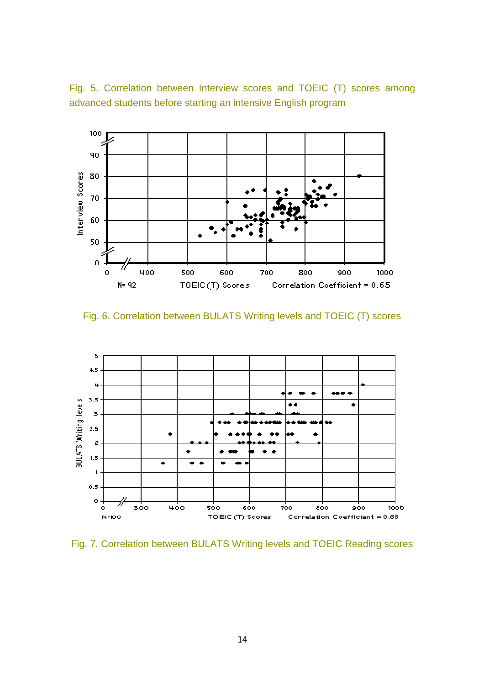Fig. 5. Correlation between Interview scores and TOEIC (T) scores among advanced students before starting an intensive English program



Fig. 6. Correlation between BULATS Writing levels and TOEIC (T) scores



Fig. 7. Correlation between BULATS Writing levels and TOEIC Reading scores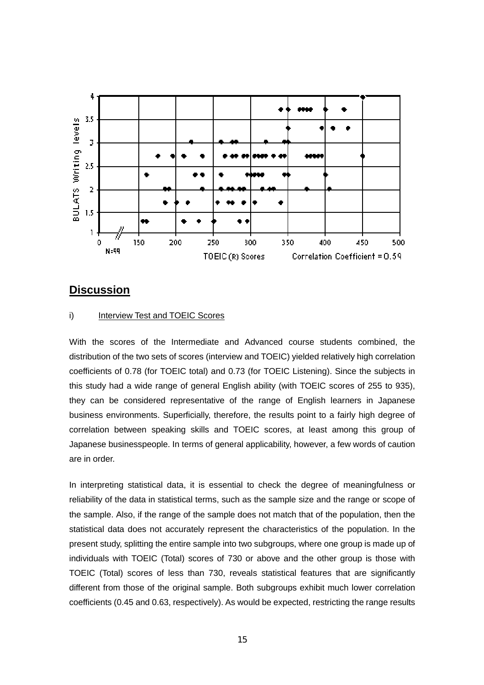

## **Discussion**

### i) Interview Test and TOEIC Scores

With the scores of the Intermediate and Advanced course students combined, the distribution of the two sets of scores (interview and TOEIC) yielded relatively high correlation coefficients of 0.78 (for TOEIC total) and 0.73 (for TOEIC Listening). Since the subjects in this study had a wide range of general English ability (with TOEIC scores of 255 to 935), they can be considered representative of the range of English learners in Japanese business environments. Superficially, therefore, the results point to a fairly high degree of correlation between speaking skills and TOEIC scores, at least among this group of Japanese businesspeople. In terms of general applicability, however, a few words of caution are in order.

In interpreting statistical data, it is essential to check the degree of meaningfulness or reliability of the data in statistical terms, such as the sample size and the range or scope of the sample. Also, if the range of the sample does not match that of the population, then the statistical data does not accurately represent the characteristics of the population. In the present study, splitting the entire sample into two subgroups, where one group is made up of individuals with TOEIC (Total) scores of 730 or above and the other group is those with TOEIC (Total) scores of less than 730, reveals statistical features that are significantly different from those of the original sample. Both subgroups exhibit much lower correlation coefficients (0.45 and 0.63, respectively). As would be expected, restricting the range results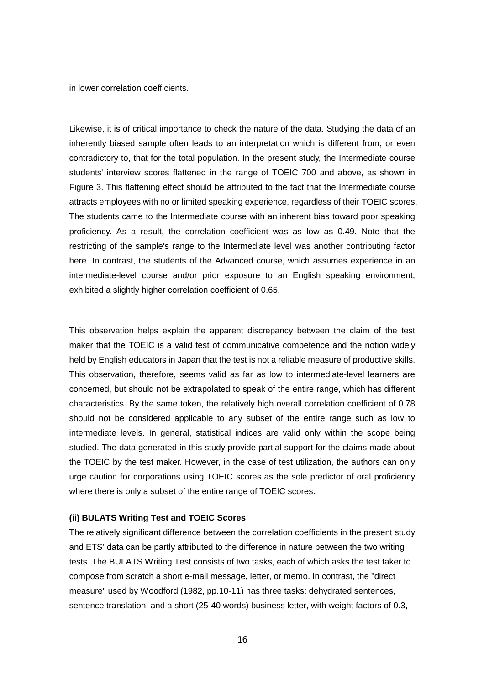in lower correlation coefficients.

Likewise, it is of critical importance to check the nature of the data. Studying the data of an inherently biased sample often leads to an interpretation which is different from, or even contradictory to, that for the total population. In the present study, the Intermediate course students' interview scores flattened in the range of TOEIC 700 and above, as shown in Figure 3. This flattening effect should be attributed to the fact that the Intermediate course attracts employees with no or limited speaking experience, regardless of their TOEIC scores. The students came to the Intermediate course with an inherent bias toward poor speaking proficiency. As a result, the correlation coefficient was as low as 0.49. Note that the restricting of the sample's range to the Intermediate level was another contributing factor here. In contrast, the students of the Advanced course, which assumes experience in an intermediate-level course and/or prior exposure to an English speaking environment, exhibited a slightly higher correlation coefficient of 0.65.

This observation helps explain the apparent discrepancy between the claim of the test maker that the TOEIC is a valid test of communicative competence and the notion widely held by English educators in Japan that the test is not a reliable measure of productive skills. This observation, therefore, seems valid as far as low to intermediate-level learners are concerned, but should not be extrapolated to speak of the entire range, which has different characteristics. By the same token, the relatively high overall correlation coefficient of 0.78 should not be considered applicable to any subset of the entire range such as low to intermediate levels. In general, statistical indices are valid only within the scope being studied. The data generated in this study provide partial support for the claims made about the TOEIC by the test maker. However, in the case of test utilization, the authors can only urge caution for corporations using TOEIC scores as the sole predictor of oral proficiency where there is only a subset of the entire range of TOEIC scores.

#### **(ii) BULATS Writing Test and TOEIC Scores**

The relatively significant difference between the correlation coefficients in the present study and ETS' data can be partly attributed to the difference in nature between the two writing tests. The BULATS Writing Test consists of two tasks, each of which asks the test taker to compose from scratch a short e-mail message, letter, or memo. In contrast, the "direct measure" used by Woodford (1982, pp.10-11) has three tasks: dehydrated sentences, sentence translation, and a short (25-40 words) business letter, with weight factors of 0.3,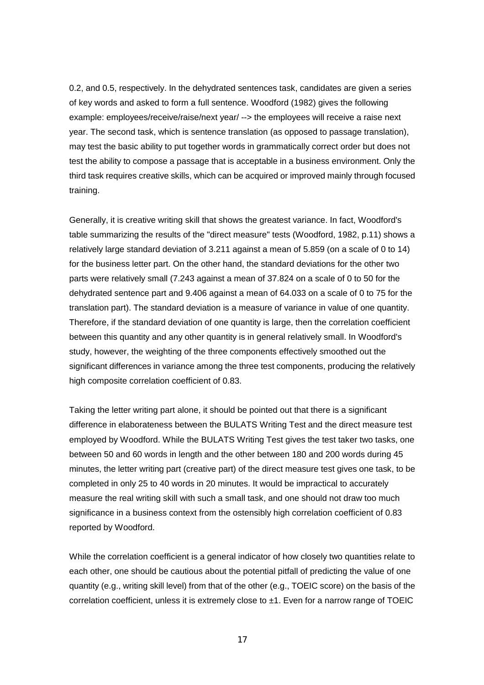0.2, and 0.5, respectively. In the dehydrated sentences task, candidates are given a series of key words and asked to form a full sentence. Woodford (1982) gives the following example: employees/receive/raise/next year/ --> the employees will receive a raise next year. The second task, which is sentence translation (as opposed to passage translation), may test the basic ability to put together words in grammatically correct order but does not test the ability to compose a passage that is acceptable in a business environment. Only the third task requires creative skills, which can be acquired or improved mainly through focused training.

Generally, it is creative writing skill that shows the greatest variance. In fact, Woodford's table summarizing the results of the "direct measure" tests (Woodford, 1982, p.11) shows a relatively large standard deviation of 3.211 against a mean of 5.859 (on a scale of 0 to 14) for the business letter part. On the other hand, the standard deviations for the other two parts were relatively small (7.243 against a mean of 37.824 on a scale of 0 to 50 for the dehydrated sentence part and 9.406 against a mean of 64.033 on a scale of 0 to 75 for the translation part). The standard deviation is a measure of variance in value of one quantity. Therefore, if the standard deviation of one quantity is large, then the correlation coefficient between this quantity and any other quantity is in general relatively small. In Woodford's study, however, the weighting of the three components effectively smoothed out the significant differences in variance among the three test components, producing the relatively high composite correlation coefficient of 0.83.

Taking the letter writing part alone, it should be pointed out that there is a significant difference in elaborateness between the BULATS Writing Test and the direct measure test employed by Woodford. While the BULATS Writing Test gives the test taker two tasks, one between 50 and 60 words in length and the other between 180 and 200 words during 45 minutes, the letter writing part (creative part) of the direct measure test gives one task, to be completed in only 25 to 40 words in 20 minutes. It would be impractical to accurately measure the real writing skill with such a small task, and one should not draw too much significance in a business context from the ostensibly high correlation coefficient of 0.83 reported by Woodford.

While the correlation coefficient is a general indicator of how closely two quantities relate to each other, one should be cautious about the potential pitfall of predicting the value of one quantity (e.g., writing skill level) from that of the other (e.g., TOEIC score) on the basis of the correlation coefficient, unless it is extremely close to ±1. Even for a narrow range of TOEIC

17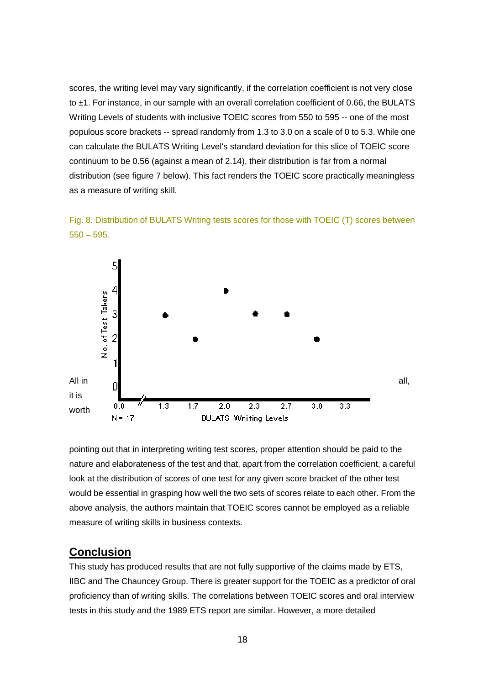scores, the writing level may vary significantly, if the correlation coefficient is not very close to  $\pm$ 1. For instance, in our sample with an overall correlation coefficient of 0.66, the BULATS Writing Levels of students with inclusive TOEIC scores from 550 to 595 -- one of the most populous score brackets -- spread randomly from 1.3 to 3.0 on a scale of 0 to 5.3. While one can calculate the BULATS Writing Level's standard deviation for this slice of TOEIC score continuum to be 0.56 (against a mean of 2.14), their distribution is far from a normal distribution (see figure 7 below). This fact renders the TOEIC score practically meaningless as a measure of writing skill.





pointing out that in interpreting writing test scores, proper attention should be paid to the nature and elaborateness of the test and that, apart from the correlation coefficient, a careful look at the distribution of scores of one test for any given score bracket of the other test would be essential in grasping how well the two sets of scores relate to each other. From the above analysis, the authors maintain that TOEIC scores cannot be employed as a reliable measure of writing skills in business contexts.

# **Conclusion**

This study has produced results that are not fully supportive of the claims made by ETS, IIBC and The Chauncey Group. There is greater support for the TOEIC as a predictor of oral proficiency than of writing skills. The correlations between TOEIC scores and oral interview tests in this study and the 1989 ETS report are similar. However, a more detailed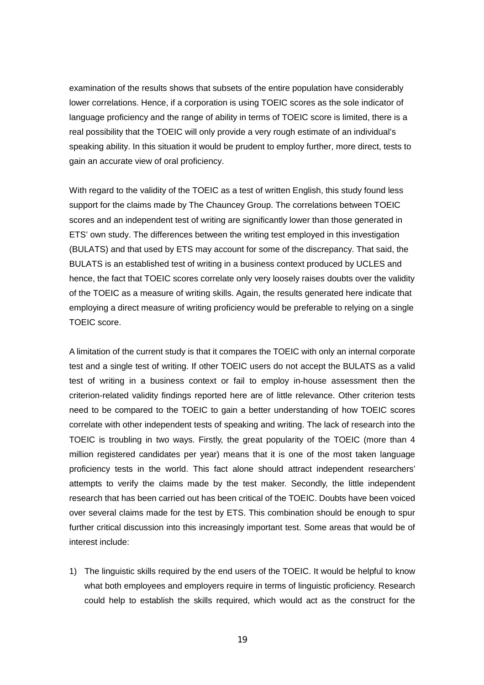examination of the results shows that subsets of the entire population have considerably lower correlations. Hence, if a corporation is using TOEIC scores as the sole indicator of language proficiency and the range of ability in terms of TOEIC score is limited, there is a real possibility that the TOEIC will only provide a very rough estimate of an individual's speaking ability. In this situation it would be prudent to employ further, more direct, tests to gain an accurate view of oral proficiency.

With regard to the validity of the TOEIC as a test of written English, this study found less support for the claims made by The Chauncey Group. The correlations between TOEIC scores and an independent test of writing are significantly lower than those generated in ETS' own study. The differences between the writing test employed in this investigation (BULATS) and that used by ETS may account for some of the discrepancy. That said, the BULATS is an established test of writing in a business context produced by UCLES and hence, the fact that TOEIC scores correlate only very loosely raises doubts over the validity of the TOEIC as a measure of writing skills. Again, the results generated here indicate that employing a direct measure of writing proficiency would be preferable to relying on a single TOEIC score.

A limitation of the current study is that it compares the TOEIC with only an internal corporate test and a single test of writing. If other TOEIC users do not accept the BULATS as a valid test of writing in a business context or fail to employ in-house assessment then the criterion-related validity findings reported here are of little relevance. Other criterion tests need to be compared to the TOEIC to gain a better understanding of how TOEIC scores correlate with other independent tests of speaking and writing. The lack of research into the TOEIC is troubling in two ways. Firstly, the great popularity of the TOEIC (more than 4 million registered candidates per year) means that it is one of the most taken language proficiency tests in the world. This fact alone should attract independent researchers' attempts to verify the claims made by the test maker. Secondly, the little independent research that has been carried out has been critical of the TOEIC. Doubts have been voiced over several claims made for the test by ETS. This combination should be enough to spur further critical discussion into this increasingly important test. Some areas that would be of interest include:

1) The linguistic skills required by the end users of the TOEIC. It would be helpful to know what both employees and employers require in terms of linguistic proficiency. Research could help to establish the skills required, which would act as the construct for the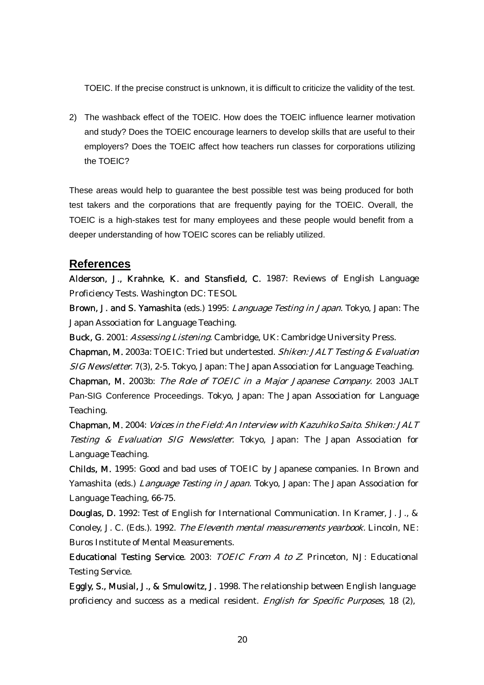TOEIC. If the precise construct is unknown, it is difficult to criticize the validity of the test.

2) The washback effect of the TOEIC. How does the TOEIC influence learner motivation and study? Does the TOEIC encourage learners to develop skills that are useful to their employers? Does the TOEIC affect how teachers run classes for corporations utilizing the TOEIC?

These areas would help to guarantee the best possible test was being produced for both test takers and the corporations that are frequently paying for the TOEIC. Overall, the TOEIC is a high-stakes test for many employees and these people would benefit from a deeper understanding of how TOEIC scores can be reliably utilized.

## **References**

Alderson, J., Krahnke, K. and Stansfield, C. 1987: Reviews of English Language Proficiency Tests. Washington DC: TESOL

Brown, J. and S. Yamashita (eds.) 1995: Language Testing in Japan. Tokyo, Japan: The Japan Association for Language Teaching.

Buck, G. 2001: Assessing Listening. Cambridge, UK: Cambridge University Press.

Chapman, M. 2003a: TOEIC: Tried but undertested. Shiken: JALT Testing & Evaluation SIG Newsletter. 7(3), 2-5. Tokyo, Japan: The Japan Association for Language Teaching.

Chapman, M. 2003b: The Role of TOEIC in a Major Japanese Company. 2003 JALT Pan-SIG Conference Proceedings. Tokyo, Japan: The Japan Association for Language Teaching.

Chapman, M. 2004: Voices in the Field: An Interview with Kazuhiko Saito. Shiken: JALT Testing & Evaluation SIG Newsletter. Tokyo, Japan: The Japan Association for Language Teaching.

Yamashita (eds.) *Language Testing in Japan*. Tokyo, Japan: The Japan Association for Childs, M. 1995: Good and bad uses of TOEIC by Japanese companies. In Brown and Language Teaching, 66-75.

Conoley, J. C. (Eds.). 1992. The Eleventh mental measurements yearbook. Lincoln, NE: Douglas, D. 1992: Test of English for International Communication. In Kramer, J. J., & Buros Institute of Mental Measurements.

Educational Testing Service. 2003: TOEIC From A to Z. Princeton, NJ: Educational Testing Service.

proficiency and success as a medical resident. *English for Specific Purposes*, 18 (2), Eggly, S., Musial, J., & Smulowitz, J. 1998. The relationship between English language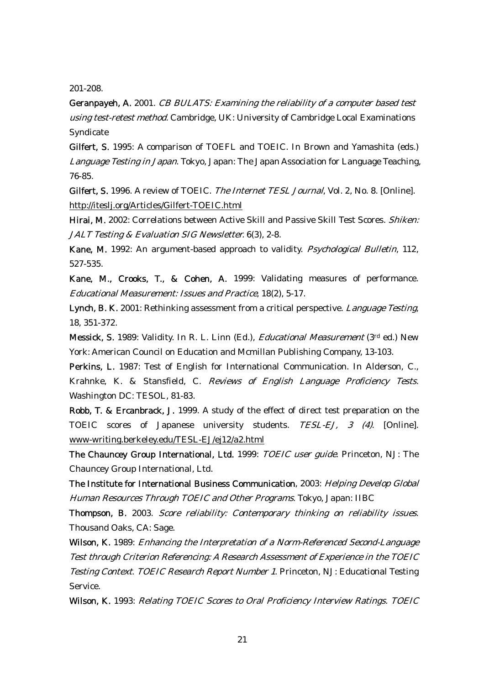201-208.

Geranpayeh, A. 2001. CB BULATS: Examining the reliability of a computer based test using test-retest method. Cambridge, UK: University of Cambridge Local Examinations Syndicate

Gilfert, S. 1995: A comparison of TOEFL and TOEIC. In Brown and Yamashita (eds.) Language Testing in Japan. Tokyo, Japan: The Japan Association for Language Teaching, 76-85.

Gilfert, S. 1996. A review of TOEIC. The Internet TESL Journal, Vol. 2, No. 8. [Online]. http://iteslj.org/Articles/Gilfert-TOEIC.html

Hirai, M. 2002: Correlations between Active Skill and Passive Skill Test Scores. Shiken: JALT Testing & Evaluation SIG Newsletter. 6(3), 2-8.

Kane, M. 1992: An argument-based approach to validity. Psychological Bulletin, 112, 527-535.

Kane, M., Crooks, T., & Cohen, A. 1999: Validating measures of performance. Educational Measurement: Issues and Practice, 18(2), 5-17.

Lynch, B. K. 2001: Rethinking assessment from a critical perspective. Language Testing, 18, 351-372.

Messick, S. 1989: Validity. In R. L. Linn (Ed.), Educational Measurement (3rd ed.) New York: American Council on Education and Mcmillan Publishing Company, 13-103.

Krahnke, K. & Stansfield, C. *Reviews of English Language Proficiency Tests.* Perkins, L. 1987: Test of English for International Communication. In Alderson, C., Washington DC: TESOL, 81-83.

Robb, T. & Ercanbrack, J. 1999. A study of the effect of direct test preparation on the TOEIC scores of Japanese university students. TESL-EJ, 3 (4). [Online]. www-writing.berkeley.edu/TESL-EJ/ej12/a2.html

The Chauncey Group International, Ltd. 1999: *TOEIC user guide*. Princeton, NJ: The Chauncey Group International, Ltd.

Human Resources Through TOEIC and Other Programs. Tokyo, Japan: IIBC The Institute for International Business Communication, 2003: Helping Develop Global

Thompson, B. 2003. Score reliability: Contemporary thinking on reliability issues. Thousand Oaks, CA: Sage.

Test through Criterion Referencing: A Research Assessment of Experience in the TOEIC Testing Context. TOEIC Research Report Number 1. Princeton, NJ: Educational Testing Wilson, K. 1989: *Enhancing the Interpretation of a Norm-Referenced Second-Language* Service.

Wilson, K. 1993: Relating TOEIC Scores to Oral Proficiency Interview Ratings. TOEIC